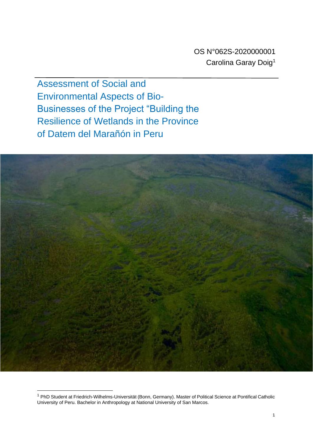Assessment of Social and Environmental Aspects of Bio-Businesses of the Project "Building the Resilience of Wetlands in the Province of Datem del Marañón in Peru



<sup>1</sup> PhD Student at Friedrich-Wilhelms-Universität (Bonn, Germany). Master of Political Science at Pontifical Catholic University of Peru. Bachelor in Anthropology at National University of San Marcos.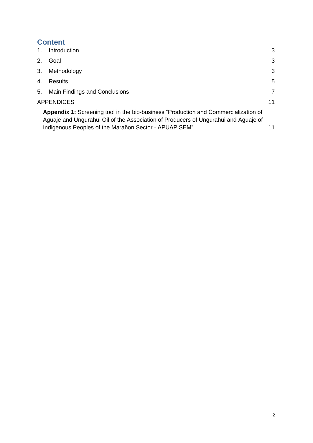# **Content**

| 1. | Introduction                                                                                                                                                                                                                               | 3              |
|----|--------------------------------------------------------------------------------------------------------------------------------------------------------------------------------------------------------------------------------------------|----------------|
| 2. | Goal                                                                                                                                                                                                                                       | 3              |
| 3. | Methodology                                                                                                                                                                                                                                | 3              |
| 4. | Results                                                                                                                                                                                                                                    | 5              |
| 5. | Main Findings and Conclusions                                                                                                                                                                                                              | $\overline{7}$ |
|    | <b>APPENDICES</b>                                                                                                                                                                                                                          | 11             |
|    | <b>Appendix 1:</b> Screening tool in the bio-business "Production and Commercialization of<br>Aguaje and Ungurahui Oil of the Association of Producers of Ungurahui and Aguaje of<br>Indigenous Peoples of the Marañon Sector - APUAPISEM" |                |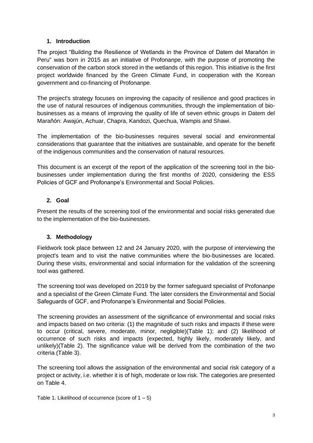# **1. Introduction**

<span id="page-2-0"></span>The project "Building the Resilience of Wetlands in the Province of Datem del Marañón in Peru" was born in 2015 as an initiative of Profonanpe, with the purpose of promoting the conservation of the carbon stock stored in the wetlands of this region. This initiative is the first project worldwide financed by the Green Climate Fund, in cooperation with the Korean government and co-financing of Profonanpe.

The project's strategy focuses on improving the capacity of resilience and good practices in the use of natural resources of indigenous communities, through the implementation of biobusinesses as a means of improving the quality of life of seven ethnic groups in Datem del Marañón: Awajún, Achuar, Chapra, Kandozi, Quechua, Wampis and Shawi.

The implementation of the bio-businesses requires several social and environmental considerations that guarantee that the initiatives are sustainable, and operate for the benefit of the indigenous communities and the conservation of natural resources.

This document is an excerpt of the report of the application of the screening tool in the biobusinesses under implementation during the first months of 2020, considering the ESS Policies of GCF and Profonanpe's Environmental and Social Policies.

# <span id="page-2-1"></span>**2. Goal**

Present the results of the screening tool of the environmental and social risks generated due to the implementation of the bio-businesses.

# <span id="page-2-2"></span>**3. Methodology**

Fieldwork took place between 12 and 24 January 2020, with the purpose of interviewing the project's team and to visit the native communities where the bio-businesses are located. During these visits, environmental and social information for the validation of the screening tool was gathered.

The screening tool was developed on 2019 by the former safeguard specialist of Profonanpe and a specialist of the Green Climate Fund. The later considers the Environmental and Social Safeguards of GCF, and Profonanpe's Environmental and Social Policies.

The screening provides an assessment of the significance of environmental and social risks and impacts based on two criteria: (1) the magnitude of such risks and impacts if these were to occur (critical, severe, moderate, minor, negligible)(Table 1); and (2) likelihood of occurrence of such risks and impacts (expected, highly likely, moderately likely, and unlikely)(Table 2). The significance value will be derived from the combination of the two criteria (Table 3).

The screening tool allows the assignation of the environmental and social risk category of a project or activity, i.e. whether it is of high, moderate or low risk. The categories are presented on Table 4.

Table 1. Likelihood of occurrence (score of  $1 - 5$ )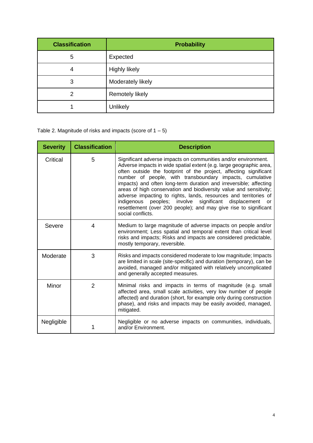| <b>Classification</b> | <b>Probability</b>     |
|-----------------------|------------------------|
| 5                     | Expected               |
| 4                     | <b>Highly likely</b>   |
| 3                     | Moderately likely      |
| 2                     | <b>Remotely likely</b> |
|                       | Unlikely               |

Table 2. Magnitude of risks and impacts (score of  $1 - 5$ )

| <b>Severity</b> | <b>Classification</b> | <b>Description</b>                                                                                                                                                                                                                                                                                                                                                                                                                                                                                                                                                                                                                           |
|-----------------|-----------------------|----------------------------------------------------------------------------------------------------------------------------------------------------------------------------------------------------------------------------------------------------------------------------------------------------------------------------------------------------------------------------------------------------------------------------------------------------------------------------------------------------------------------------------------------------------------------------------------------------------------------------------------------|
| Critical        | 5                     | Significant adverse impacts on communities and/or environment.<br>Adverse impacts in wide spatial extent (e.g. large geographic area,<br>often outside the footprint of the project, affecting significant<br>number of people, with transboundary impacts, cumulative<br>impacts) and often long-term duration and irreversible; affecting<br>areas of high conservation and biodiversity value and sensitivity;<br>adverse impacting to rights, lands, resources and territories of<br>indigenous peoples; involve significant displacement<br>or<br>resettlement (over 200 people); and may give rise to significant<br>social conflicts. |
| Severe          | 4                     | Medium to large magnitude of adverse impacts on people and/or<br>environment; Less spatial and temporal extent than critical level<br>risks and impacts; Risks and impacts are considered predictable,<br>mostly temporary, reversible.                                                                                                                                                                                                                                                                                                                                                                                                      |
| Moderate        | 3                     | Risks and impacts considered moderate to low magnitude; Impacts<br>are limited in scale (site-specific) and duration (temporary), can be<br>avoided, managed and/or mitigated with relatively uncomplicated<br>and generally accepted measures.                                                                                                                                                                                                                                                                                                                                                                                              |
| Minor           | $\overline{2}$        | Minimal risks and impacts in terms of magnitude (e.g. small<br>affected area, small scale activities, very low number of people<br>affected) and duration (short, for example only during construction<br>phase), and risks and impacts may be easily avoided, managed,<br>mitigated.                                                                                                                                                                                                                                                                                                                                                        |
| Negligible      |                       | Negligible or no adverse impacts on communities, individuals,<br>and/or Environment.                                                                                                                                                                                                                                                                                                                                                                                                                                                                                                                                                         |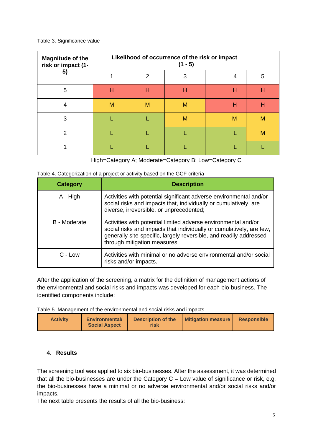#### Table 3. Significance value

| <b>Magnitude of the</b><br>risk or impact (1- | Likelihood of occurrence of the risk or impact<br>$(1 - 5)$ |   |   |   |   |  |  |  |  |
|-----------------------------------------------|-------------------------------------------------------------|---|---|---|---|--|--|--|--|
| 5)                                            |                                                             | 2 | 3 | 4 | 5 |  |  |  |  |
| 5                                             | н                                                           | Н | н | н | H |  |  |  |  |
| 4                                             | M                                                           | M | M | н | H |  |  |  |  |
| 3                                             |                                                             |   | M | M | M |  |  |  |  |
| 2                                             |                                                             |   |   |   | M |  |  |  |  |
|                                               |                                                             |   |   |   |   |  |  |  |  |

High=Category A; Moderate=Category B; Low=Category C

|  |  |  | Table 4. Categorization of a project or activity based on the GCF criteria |  |  |
|--|--|--|----------------------------------------------------------------------------|--|--|
|--|--|--|----------------------------------------------------------------------------|--|--|

| <b>Category</b> | <b>Description</b>                                                                                                                                                                                                                          |
|-----------------|---------------------------------------------------------------------------------------------------------------------------------------------------------------------------------------------------------------------------------------------|
| A - High        | Activities with potential significant adverse environmental and/or<br>social risks and impacts that, individually or cumulatively, are<br>diverse, irreversible, or unprecedented;                                                          |
| B - Moderate    | Activities with potential limited adverse environmental and/or<br>social risks and impacts that individually or cumulatively, are few,<br>generally site-specific, largely reversible, and readily addressed<br>through mitigation measures |
| C - Low         | Activities with minimal or no adverse environmental and/or social<br>risks and/or impacts.                                                                                                                                                  |

After the application of the screening, a matrix for the definition of management actions of the environmental and social risks and impacts was developed for each bio-business. The identified components include:

Table 5. Management of the environmental and social risks and impacts

| <b>Activity</b><br><b>Environmental/</b><br><b>Social Aspect</b> | <b>Description of the</b><br>risk | <b>Mitigation measure</b> | <b>Responsible</b> |
|------------------------------------------------------------------|-----------------------------------|---------------------------|--------------------|
|------------------------------------------------------------------|-----------------------------------|---------------------------|--------------------|

# <span id="page-4-0"></span>**4. Results**

The screening tool was applied to six bio-businesses. After the assessment, it was determined that all the bio-businesses are under the Category  $C = Low$  value of significance or risk, e.g. the bio-businesses have a minimal or no adverse environmental and/or social risks and/or impacts.

The next table presents the results of all the bio-business: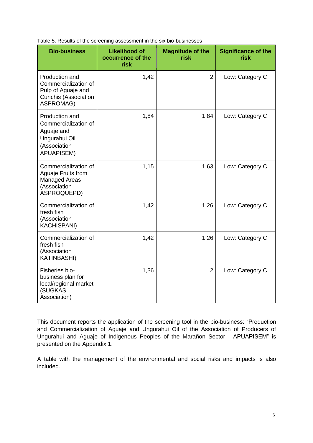| <b>Bio-business</b>                                                                                              | <b>Likelihood of</b><br>occurrence of the<br>risk | <b>Magnitude of the</b><br>risk | <b>Significance of the</b><br>risk |
|------------------------------------------------------------------------------------------------------------------|---------------------------------------------------|---------------------------------|------------------------------------|
| Production and<br>Commercialization of<br>Pulp of Aguaje and<br><b>Curichis (Association</b><br><b>ASPROMAG)</b> | 1,42                                              | $\overline{2}$                  | Low: Category C                    |
| Production and<br>Commercialization of<br>Aguaje and<br>Ungurahui Oil<br>(Association<br><b>APUAPISEM)</b>       | 1,84                                              | 1,84                            | Low: Category C                    |
| Commercialization of<br>Aguaje Fruits from<br><b>Managed Areas</b><br>(Association<br>ASPROQUEPD)                | 1,15                                              | 1,63                            | Low: Category C                    |
| Commercialization of<br>fresh fish<br>(Association<br><b>KACHISPANI)</b>                                         | 1,42                                              | 1,26                            | Low: Category C                    |
| Commercialization of<br>fresh fish<br>(Association<br><b>KATINBASHI)</b>                                         | 1,42                                              | 1,26                            | Low: Category C                    |
| Fisheries bio-<br>business plan for<br>local/regional market<br>(SUGKAS<br>Association)                          | 1,36                                              | $\overline{2}$                  | Low: Category C                    |

Table 5. Results of the screening assessment in the six bio-businesses

This document reports the application of the screening tool in the bio-business: "Production and Commercialization of Aguaje and Ungurahui Oil of the Association of Producers of Ungurahui and Aguaje of Indigenous Peoples of the Marañon Sector - APUAPISEM" is presented on the Appendix 1.

A table with the management of the environmental and social risks and impacts is also included.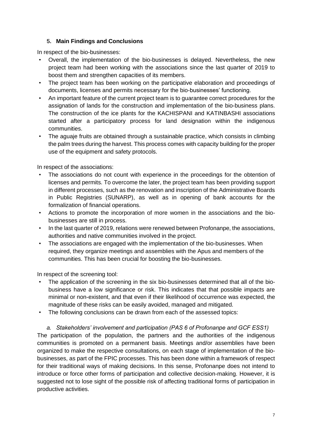### **5. Main Findings and Conclusions**

<span id="page-6-0"></span>In respect of the bio-businesses:

- Overall, the implementation of the bio-businesses is delayed. Nevertheless, the new project team had been working with the associations since the last quarter of 2019 to boost them and strengthen capacities of its members.
- The project team has been working on the participative elaboration and proceedings of documents, licenses and permits necessary for the bio-businesses' functioning.
- An important feature of the current project team is to guarantee correct procedures for the assignation of lands for the construction and implementation of the bio-business plans. The construction of the ice plants for the KACHISPANI and KATINBASHI associations started after a participatory process for land designation within the indigenous communities.
- The aguaje fruits are obtained through a sustainable practice, which consists in climbing the palm trees during the harvest. This process comes with capacity building for the proper use of the equipment and safety protocols.

In respect of the associations:

- The associations do not count with experience in the proceedings for the obtention of licenses and permits. To overcome the later, the project team has been providing support in different processes, such as the renovation and inscription of the Administrative Boards in Public Registries (SUNARP), as well as in opening of bank accounts for the formalization of financial operations.
- Actions to promote the incorporation of more women in the associations and the biobusinesses are still in process.
- In the last quarter of 2019, relations were renewed between Profonanpe, the associations, authorities and native communities involved in the project.
- The associations are engaged with the implementation of the bio-businesses. When required, they organize meetings and assemblies with the Apus and members of the communities. This has been crucial for boosting the bio-businesses.

In respect of the screening tool:

- The application of the screening in the six bio-businesses determined that all of the biobusiness have a low significance or risk. This indicates that that possible impacts are minimal or non-existent, and that even if their likelihood of occurrence was expected, the magnitude of these risks can be easily avoided, managed and mitigated.
- The following conclusions can be drawn from each of the assessed topics:

*a. Stakeholders' involvement and participation (PAS 6 of Profonanpe and GCF ESS1)*

The participation of the population, the partners and the authorities of the indigenous communities is promoted on a permanent basis. Meetings and/or assemblies have been organized to make the respective consultations, on each stage of implementation of the biobusinesses, as part of the FPIC processes. This has been done within a framework of respect for their traditional ways of making decisions. In this sense, Profonanpe does not intend to introduce or force other forms of participation and collective decision-making. However, it is suggested not to lose sight of the possible risk of affecting traditional forms of participation in productive activities.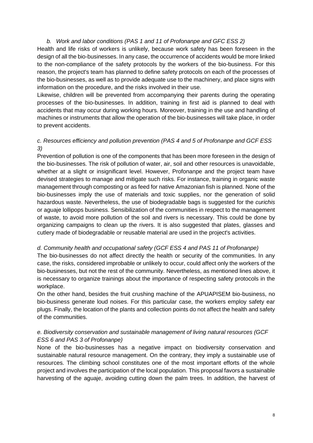#### *b. Work and labor conditions (PAS 1 and 11 of Profonanpe and GFC ESS 2)*

Health and life risks of workers is unlikely, because work safety has been foreseen in the design of all the bio-businesses. In any case, the occurrence of accidents would be more linked to the non-compliance of the safety protocols by the workers of the bio-business. For this reason, the project's team has planned to define safety protocols on each of the processes of the bio-businesses, as well as to provide adequate use to the machinery, and place signs with information on the procedure, and the risks involved in their use.

Likewise, children will be prevented from accompanying their parents during the operating processes of the bio-businesses. In addition, training in first aid is planned to deal with accidents that may occur during working hours. Moreover, training in the use and handling of machines or instruments that allow the operation of the bio-businesses will take place, in order to prevent accidents.

# *c. Resources efficiency and pollution prevention (PAS 4 and 5 of Profonanpe and GCF ESS 3)*

Prevention of pollution is one of the components that has been more foreseen in the design of the bio-businesses. The risk of pollution of water, air, soil and other resources is unavoidable, whether at a slight or insignificant level. However, Profonanpe and the project team have devised strategies to manage and mitigate such risks. For instance, training in organic waste management through composting or as feed for native Amazonian fish is planned. None of the bio-businesses imply the use of materials and toxic supplies, nor the generation of solid hazardous waste. Nevertheless, the use of biodegradable bags is suggested for the *curichis*  or aguaje lollipops business. Sensibilization of the communities in respect to the management of waste, to avoid more pollution of the soil and rivers is necessary. This could be done by organizing campaigns to clean up the rivers. It is also suggested that plates, glasses and cutlery made of biodegradable or reusable material are used in the project's activities.

#### *d. Community health and occupational safety (GCF ESS 4 and PAS 11 of Profonanpe)*

The bio-businesses do not affect directly the health or security of the communities. In any case, the risks, considered improbable or unlikely to occur, could affect only the workers of the bio-businesses, but not the rest of the community. Nevertheless, as mentioned lines above, it is necessary to organize trainings about the importance of respecting safety protocols in the workplace.

On the other hand, besides the fruit crushing machine of the APUAPISEM bio-business, no bio-business generate loud noises. For this particular case, the workers employ safety ear plugs. Finally, the location of the plants and collection points do not affect the health and safety of the communities.

# *e. Biodiversity conservation and sustainable management of living natural resources (GCF ESS 6 and PAS 3 of Profonanpe)*

None of the bio-businesses has a negative impact on biodiversity conservation and sustainable natural resource management. On the contrary, they imply a sustainable use of resources. The climbing school constitutes one of the most important efforts of the whole project and involves the participation of the local population. This proposal favors a sustainable harvesting of the aguaje, avoiding cutting down the palm trees. In addition, the harvest of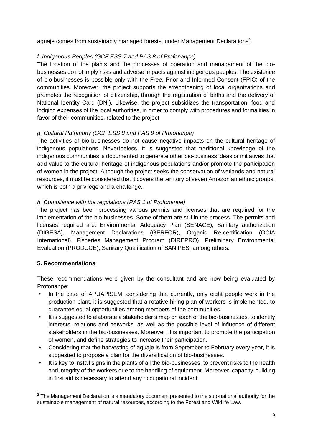aguaje comes from sustainably managed forests, under Management Declarations<sup>2</sup>.

# *f. Indigenous Peoples (GCF ESS 7 and PAS 8 of Profonanpe)*

The location of the plants and the processes of operation and management of the biobusinesses do not imply risks and adverse impacts against indigenous peoples. The existence of bio-businesses is possible only with the Free, Prior and Informed Consent (FPIC) of the communities. Moreover, the project supports the strengthening of local organizations and promotes the recognition of citizenship, through the registration of births and the delivery of National Identity Card (DNI). Likewise, the project subsidizes the transportation, food and lodging expenses of the local authorities, in order to comply with procedures and formalities in favor of their communities, related to the project.

# *g. Cultural Patrimony (GCF ESS 8 and PAS 9 of Profonanpe)*

The activities of bio-businesses do not cause negative impacts on the cultural heritage of indigenous populations. Nevertheless, it is suggested that traditional knowledge of the indigenous communities is documented to generate other bio-business ideas or initiatives that add value to the cultural heritage of indigenous populations and/or promote the participation of women in the project. Although the project seeks the conservation of wetlands and natural resources, it must be considered that it covers the territory of seven Amazonian ethnic groups, which is both a privilege and a challenge.

# *h. Compliance with the regulations (PAS 1 of Profonanpe)*

The project has been processing various permits and licenses that are required for the implementation of the bio-businesses. Some of them are still in the process. The permits and licenses required are: Environmental Adequacy Plan (SENACE), Sanitary authorization (DIGESA), Management Declarations (GERFOR), Organic Re-certification (OCIA International), Fisheries Management Program (DIREPRO), Preliminary Environmental Evaluation (PRODUCE), Sanitary Qualification of SANIPES, among others.

# **5. Recommendations**

These recommendations were given by the consultant and are now being evaluated by Profonanpe:

- In the case of APUAPISEM, considering that currently, only eight people work in the production plant, it is suggested that a rotative hiring plan of workers is implemented, to guarantee equal opportunities among members of the communities.
- It is suggested to elaborate a stakeholder's map on each of the bio-businesses, to identify interests, relations and networks, as well as the possible level of influence of different stakeholders in the bio-businesses. Moreover, it is important to promote the participation of women, and define strategies to increase their participation.
- Considering that the harvesting of aguaje is from September to February every year, it is suggested to propose a plan for the diversification of bio-businesses.
- It is key to install signs in the plants of all the bio-businesses, to prevent risks to the health and integrity of the workers due to the handling of equipment. Moreover, capacity-building in first aid is necessary to attend any occupational incident.

 $2$  The Management Declaration is a mandatory document presented to the sub-national authority for the sustainable management of natural resources, according to the Forest and Wildlife Law.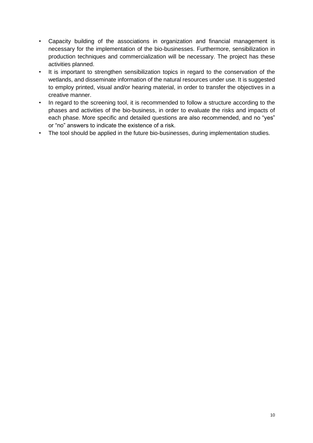- Capacity building of the associations in organization and financial management is necessary for the implementation of the bio-businesses. Furthermore, sensibilization in production techniques and commercialization will be necessary. The project has these activities planned.
- It is important to strengthen sensibilization topics in regard to the conservation of the wetlands, and disseminate information of the natural resources under use. It is suggested to employ printed, visual and/or hearing material, in order to transfer the objectives in a creative manner.
- In regard to the screening tool, it is recommended to follow a structure according to the phases and activities of the bio-business, in order to evaluate the risks and impacts of each phase. More specific and detailed questions are also recommended, and no "yes" or "no" answers to indicate the existence of a risk.
- The tool should be applied in the future bio-businesses, during implementation studies.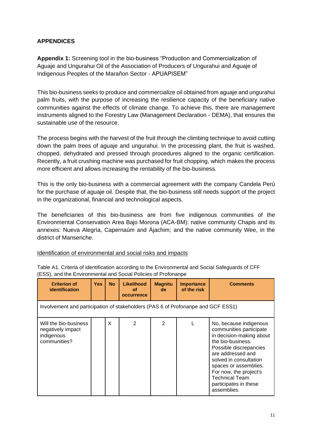# <span id="page-10-0"></span>**APPENDICES**

<span id="page-10-1"></span>**Appendix 1:** Screening tool in the bio-business "Production and Commercialization of Aguaje and Ungurahui Oil of the Association of Producers of Ungurahui and Aguaje of Indigenous Peoples of the Marañon Sector - APUAPISEM"

This bio-business seeks to produce and commercialize oil obtained from aguaje and ungurahui palm fruits, with the purpose of increasing the resilience capacity of the beneficiary native communities against the effects of climate change. To achieve this, there are management instruments aligned to the Forestry Law (Management Declaration - DEMA), that ensures the sustainable use of the resource.

The process begins with the harvest of the fruit through the climbing technique to avoid cutting down the palm trees of aguaje and ungurahui. In the processing plant, the fruit is washed, chopped, dehydrated and pressed through procedures aligned to the organic certification. Recently, a fruit crushing machine was purchased for fruit chopping, which makes the process more efficient and allows increasing the rentability of the bio-business.

This is the only bio-business with a commercial agreement with the company Candela Perú for the purchase of aguaje oil. Despite that, the bio-business still needs support of the project in the organizational, financial and technological aspects.

The beneficiaries of this bio-business are from five indigenous communities of the Environmental Conservation Area Bajo Morona (ACA-BM): native community Chapis and its annexes: Nueva Alegría, Capernaúm and Ájachim; and the native community Wee, in the district of Manseriche.

#### Identification of environmental and social risks and impacts

| <b>Criterion of</b><br><b>identification</b>                             | <b>Yes</b>                                                                       | <b>No</b> | <b>Likelihood</b><br>οf<br>occurrence | <b>Magnitu</b><br>de | <b>Importance</b><br>of the risk | <b>Comments</b>                                                                                                                                                                                                                                                                                 |  |  |
|--------------------------------------------------------------------------|----------------------------------------------------------------------------------|-----------|---------------------------------------|----------------------|----------------------------------|-------------------------------------------------------------------------------------------------------------------------------------------------------------------------------------------------------------------------------------------------------------------------------------------------|--|--|
|                                                                          | Involvement and participation of stakeholders (PAS 6 of Profonanpe and GCF ESS1) |           |                                       |                      |                                  |                                                                                                                                                                                                                                                                                                 |  |  |
| Will the bio-business<br>negatively impact<br>indigenous<br>communities? |                                                                                  | X         | $\overline{2}$                        | 2                    |                                  | No, because indigenous<br>communities participate<br>in decision-making about<br>the bio-business.<br>Possible discrepancies<br>are addressed and<br>solved in consultation<br>spaces or assemblies.<br>For now, the project's<br><b>Technical Team</b><br>participates in these<br>assemblies. |  |  |

Table A1. Criteria of identification according to the Environmental and Social Safeguards of CFF (ESS), and the Environmental and Social Policies of Profonanpe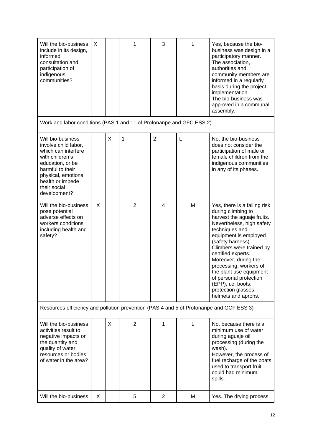| Will the bio-business<br>include in its design,<br>informed<br>consultation and<br>participation of<br>indigenous<br>communities?                                                                      | X |   | 1              | 3              |   | Yes, because the bio-<br>business was design in a<br>participatory manner.<br>The association,<br>authorities and<br>community members are<br>informed in a regularly<br>basis during the project<br>implementation.<br>The bio-business was<br>approved in a communal<br>assembly.                                                                                                                        |
|--------------------------------------------------------------------------------------------------------------------------------------------------------------------------------------------------------|---|---|----------------|----------------|---|------------------------------------------------------------------------------------------------------------------------------------------------------------------------------------------------------------------------------------------------------------------------------------------------------------------------------------------------------------------------------------------------------------|
| Work and labor conditions (PAS 1 and 11 of Profonanpe and GFC ESS 2)                                                                                                                                   |   |   |                |                |   |                                                                                                                                                                                                                                                                                                                                                                                                            |
| Will bio-business<br>involve child labor,<br>which can interfere<br>with children's<br>education, or be<br>harmful to their<br>physical, emotional<br>health or impede<br>their social<br>development? |   | X | 1              | $\overline{2}$ | L | No, the bio-business<br>does not consider the<br>participation of male or<br>female children from the<br>indigenous communities<br>in any of its phases.                                                                                                                                                                                                                                                   |
| Will the bio-business<br>pose potential<br>adverse effects on<br>workers conditions<br>including health and<br>safety?                                                                                 | X |   | $\overline{2}$ | 4              | M | Yes, there is a falling risk<br>during climbing to<br>harvest the aguaje fruits.<br>Nevertheless, high safety<br>techniques and<br>equipment is employed<br>(safety harness).<br>Climbers were trained by<br>certified experts.<br>Moreover, during the<br>processing, workers of<br>the plant use equipment<br>of personal protection<br>(EPP), i.e. boots,<br>protection glasses,<br>helmets and aprons. |
| Resources efficiency and pollution prevention (PAS 4 and 5 of Profonanpe and GCF ESS 3)                                                                                                                |   |   |                |                |   |                                                                                                                                                                                                                                                                                                                                                                                                            |
| Will the bio-business<br>activities result to<br>negative impacts on<br>the quantity and<br>quality of water<br>resources or bodies<br>of water in the area?                                           |   | X | $\overline{2}$ | 1              | L | No, because there is a<br>minimum use of water<br>during aguaje oil<br>processing (during the<br>wash).<br>However, the process of<br>fuel recharge of the boats<br>used to transport fruit<br>could had minimum<br>spills.                                                                                                                                                                                |
| Will the bio-business                                                                                                                                                                                  | X |   | 5              | 2              | М | Yes. The drying process                                                                                                                                                                                                                                                                                                                                                                                    |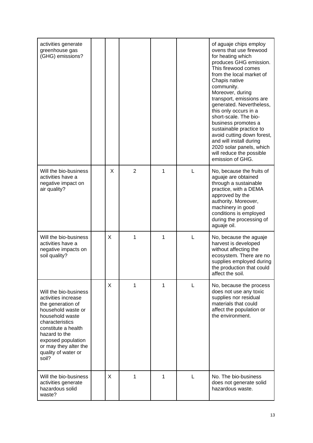| activities generate<br>greenhouse gas<br>(GHG) emissions?                                                                                                                                                                                            |              |                |   |   | of aguaje chips employ<br>ovens that use firewood<br>for heating which<br>produces GHG emission.<br>This firewood comes<br>from the local market of<br>Chapis native<br>community.<br>Moreover, during<br>transport, emissions are<br>generated. Nevertheless,<br>this only occurs in a<br>short-scale. The bio-<br>business promotes a<br>sustainable practice to<br>avoid cutting down forest,<br>and will install during<br>2020 solar panels, which<br>will reduce the possible<br>emission of GHG. |
|------------------------------------------------------------------------------------------------------------------------------------------------------------------------------------------------------------------------------------------------------|--------------|----------------|---|---|---------------------------------------------------------------------------------------------------------------------------------------------------------------------------------------------------------------------------------------------------------------------------------------------------------------------------------------------------------------------------------------------------------------------------------------------------------------------------------------------------------|
| Will the bio-business<br>activities have a<br>negative impact on<br>air quality?                                                                                                                                                                     | X            | $\overline{2}$ | 1 | L | No, because the fruits of<br>aguaje are obtained<br>through a sustainable<br>practice, with a DEMA<br>approved by the<br>authority. Moreover,<br>machinery in good<br>conditions is employed<br>during the processing of<br>aguaje oil.                                                                                                                                                                                                                                                                 |
| Will the bio-business<br>activities have a<br>negative impacts on<br>soil quality?                                                                                                                                                                   | $\mathsf{X}$ | 1              | 1 | L | No, because the aguaje<br>harvest is developed<br>without affecting the<br>ecosystem. There are no<br>supplies employed during<br>the production that could<br>affect the soil.                                                                                                                                                                                                                                                                                                                         |
| Will the bio-business<br>activities increase<br>the generation of<br>household waste or<br>household waste<br>characteristics<br>constitute a health<br>hazard to the<br>exposed population<br>or may they alter the<br>quality of water or<br>soil? | X            | 1              | 1 | L | No, because the process<br>does not use any toxic<br>supplies nor residual<br>materials that could<br>affect the population or<br>the environment.                                                                                                                                                                                                                                                                                                                                                      |
| Will the bio-business<br>activities generate<br>hazardous solid<br>waste?                                                                                                                                                                            | $\times$     | 1              | 1 | L | No. The bio-business<br>does not generate solid<br>hazardous waste.                                                                                                                                                                                                                                                                                                                                                                                                                                     |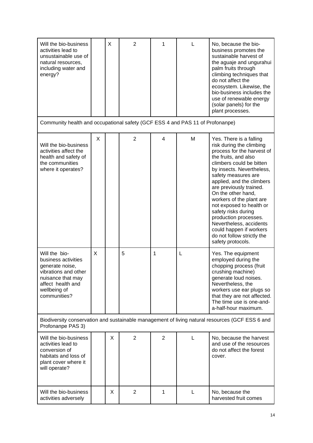| Will the bio-business<br>activities lead to<br>unsustainable use of<br>natural resources,<br>including water and<br>energy?                               |   | X | $\overline{2}$ | 1              |   | No, because the bio-<br>business promotes the<br>sustainable harvest of<br>the aguaje and ungurahui<br>palm fruits through<br>climbing techniques that<br>do not affect the<br>ecosystem. Likewise, the<br>bio-business includes the<br>use of renewable energy<br>(solar panels) for the<br>plant processes.                                                                                                                                                                            |
|-----------------------------------------------------------------------------------------------------------------------------------------------------------|---|---|----------------|----------------|---|------------------------------------------------------------------------------------------------------------------------------------------------------------------------------------------------------------------------------------------------------------------------------------------------------------------------------------------------------------------------------------------------------------------------------------------------------------------------------------------|
| Community health and occupational safety (GCF ESS 4 and PAS 11 of Profonanpe)                                                                             |   |   |                |                |   |                                                                                                                                                                                                                                                                                                                                                                                                                                                                                          |
| Will the bio-business<br>activities affect the<br>health and safety of<br>the communities<br>where it operates?                                           | X |   | $\overline{2}$ | 4              | M | Yes. There is a falling<br>risk during the climbing<br>process for the harvest of<br>the fruits, and also<br>climbers could be bitten<br>by insects. Nevertheless,<br>safety measures are<br>applied, and the climbers<br>are previously trained.<br>On the other hand,<br>workers of the plant are<br>not exposed to health or<br>safety risks during<br>production processes.<br>Nevertheless, accidents<br>could happen if workers<br>do not follow strictly the<br>safety protocols. |
| Will the bio-<br>business activities<br>generate noise,<br>vibrations and other<br>nuisance that may<br>affect health and<br>wellbeing of<br>communities? | X |   | 5              | 1              | L | Yes. The equipment<br>employed during the<br>chopping process (fruit<br>crushing machine)<br>generate loud noises.<br>Nevertheless, the<br>workers use ear plugs so<br>that they are not affected.<br>The time use is one-and-<br>a-half-hour maximum.                                                                                                                                                                                                                                   |
| Profonanpe PAS 3)                                                                                                                                         |   |   |                |                |   | Biodiversity conservation and sustainable management of living natural resources (GCF ESS 6 and                                                                                                                                                                                                                                                                                                                                                                                          |
| Will the bio-business<br>activities lead to<br>conversion of<br>habitats and loss of<br>plant cover where it<br>will operate?                             |   | X | $\overline{2}$ | $\overline{2}$ | L | No, because the harvest<br>and use of the resources<br>do not affect the forest<br>cover.                                                                                                                                                                                                                                                                                                                                                                                                |
| Will the bio-business<br>activities adversely                                                                                                             |   | X | $\overline{2}$ | 1              | L | No, because the<br>harvested fruit comes                                                                                                                                                                                                                                                                                                                                                                                                                                                 |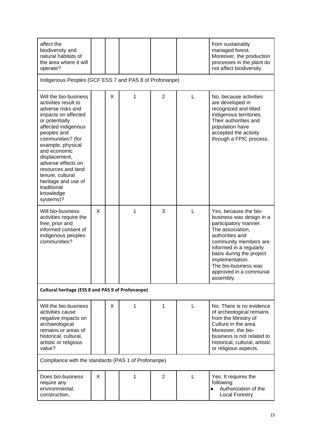| affect the<br>biodiversity and<br>natural habitats of<br>the area where it will<br>operate?                                                                                                                                                                                                                                                                  |   |   |   |                |   | from sustainably<br>managed forest.<br>Moreover, the production<br>processes in the plant do<br>not affect biodiversity.                                                                                                                                                            |  |
|--------------------------------------------------------------------------------------------------------------------------------------------------------------------------------------------------------------------------------------------------------------------------------------------------------------------------------------------------------------|---|---|---|----------------|---|-------------------------------------------------------------------------------------------------------------------------------------------------------------------------------------------------------------------------------------------------------------------------------------|--|
| Indigenous Peoples (GCF ESS 7 and PAS 8 of Profonanpe)                                                                                                                                                                                                                                                                                                       |   |   |   |                |   |                                                                                                                                                                                                                                                                                     |  |
| Will the bio-business<br>activities result to<br>adverse risks and<br>impacts on affected<br>or potentially<br>affected indigenous<br>peoples and<br>communities? (for<br>example, physical<br>and economic<br>displacement,<br>adverse effects on<br>resources and land<br>tenure, cultural<br>heritage and use of<br>traditional<br>knowledge<br>systems)? |   | X | 1 | $\overline{2}$ | L | No, because activities<br>are developed in<br>recognized and titled<br>indigenous territories.<br>Their authorities and<br>population have<br>accepted the activity<br>through a FPIC process.                                                                                      |  |
| Will bio-business<br>activities require the<br>free, prior and<br>informed consent of<br>indigenous peoples<br>communities?                                                                                                                                                                                                                                  | X |   | 1 | 3              | L | Yes, because the bio-<br>business was design in a<br>participatory manner.<br>The association,<br>authorities and<br>community members are<br>informed in a regularly<br>basis during the project<br>implementation.<br>The bio-business was<br>approved in a communal<br>assembly. |  |
| <b>Cultural heritage (ESS 8 and PAS 9 of Profonanpe)</b>                                                                                                                                                                                                                                                                                                     |   |   |   |                |   |                                                                                                                                                                                                                                                                                     |  |
| Will the bio-business<br>activities cause<br>negative impacts on<br>archaeological<br>remains or areas of<br>historical, cultural,<br>artistic or religious<br>value?                                                                                                                                                                                        |   | X | 1 | 1              | L | No. There is no evidence<br>of archeological remains<br>from the Ministry of<br>Culture in the area.<br>Moreover, the bio-<br>business is not related to<br>historical, cultural, artistic<br>or religious aspects.                                                                 |  |
| Compliance with the standards (PAS 1 of Profonanpe)                                                                                                                                                                                                                                                                                                          |   |   |   |                |   |                                                                                                                                                                                                                                                                                     |  |
| Does bio-business<br>require any<br>environmental,<br>construction,                                                                                                                                                                                                                                                                                          | X |   | 1 | $\overline{2}$ | L | Yes. It requires the<br>following:<br>Authorization of the<br>$\bullet$<br><b>Local Forestry</b>                                                                                                                                                                                    |  |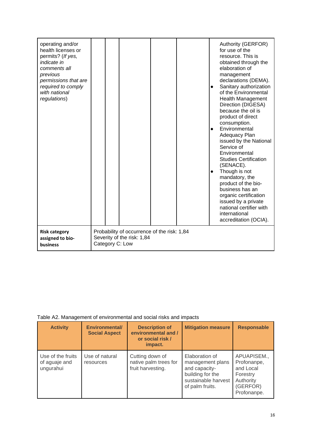| operating and/or<br>health licenses or<br>permits? (If yes,<br>indicate in<br>comments all<br>previous<br>permissions that are<br>required to comply<br>with national<br>regulations) |  |                                                                                              |  | $\bullet$<br>$\bullet$<br>$\bullet$ | Authority (GERFOR)<br>for use of the<br>resource. This is<br>obtained through the<br>elaboration of<br>management<br>declarations (DEMA).<br>Sanitary authorization<br>of the Environmental<br><b>Health Management</b><br>Direction (DIGESA)<br>because the oil is<br>product of direct<br>consumption.<br>Environmental<br>Adequacy Plan<br>issued by the National<br>Service of<br>Environmental<br><b>Studies Certification</b><br>(SENACE).<br>Though is not<br>mandatory, the<br>product of the bio-<br>business has an<br>organic certification<br>issued by a private<br>national certifier with<br>international<br>accreditation (OCIA). |
|---------------------------------------------------------------------------------------------------------------------------------------------------------------------------------------|--|----------------------------------------------------------------------------------------------|--|-------------------------------------|----------------------------------------------------------------------------------------------------------------------------------------------------------------------------------------------------------------------------------------------------------------------------------------------------------------------------------------------------------------------------------------------------------------------------------------------------------------------------------------------------------------------------------------------------------------------------------------------------------------------------------------------------|
| <b>Risk category</b><br>assigned to bio-<br>business                                                                                                                                  |  | Probability of occurrence of the risk: 1,84<br>Severity of the risk: 1,84<br>Category C: Low |  |                                     |                                                                                                                                                                                                                                                                                                                                                                                                                                                                                                                                                                                                                                                    |

# Table A2. Management of environmental and social risks and impacts

| <b>Activity</b>                                 | <b>Environmental/</b><br><b>Social Aspect</b> | <b>Description of</b><br>environmental and /<br>or social risk /<br>impact. | <b>Mitigation measure</b>                                                                                         | <b>Responsable</b>                                                                          |
|-------------------------------------------------|-----------------------------------------------|-----------------------------------------------------------------------------|-------------------------------------------------------------------------------------------------------------------|---------------------------------------------------------------------------------------------|
| Use of the fruits<br>of aguaje and<br>ungurahui | Use of natural<br>resources                   | Cutting down of<br>native palm trees for<br>fruit harvesting.               | Elaboration of<br>management plans<br>and capacity-<br>building for the<br>sustainable harvest<br>of palm fruits. | APUAPISEM.,<br>Profonanpe,<br>and Local<br>Forestry<br>Authority<br>(GERFOR)<br>Profonanpe. |